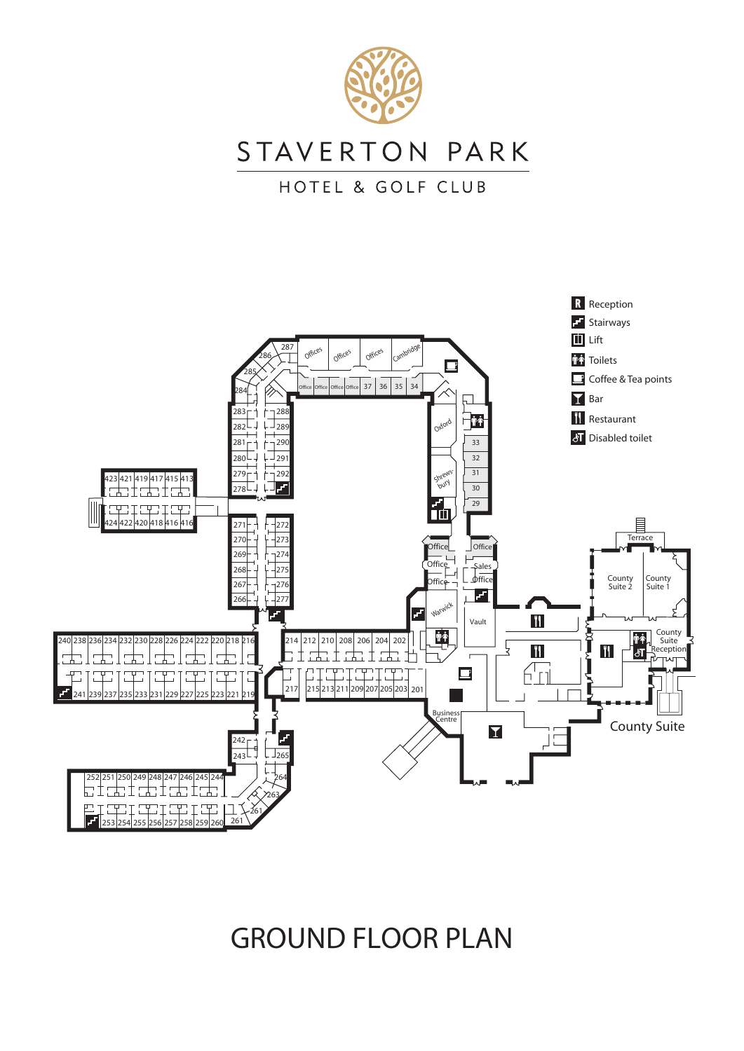

C<sub>T</sub>





GROUND FLOOR PLAN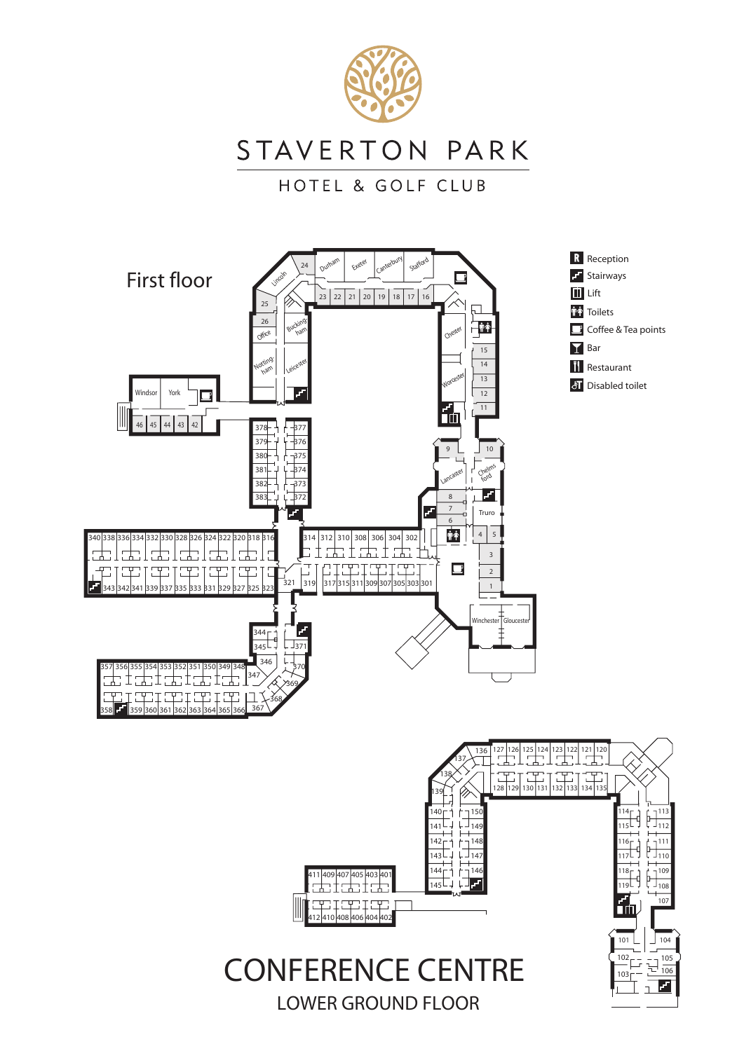

STAVERTON PARK

HOTEL & GOLF CLUB